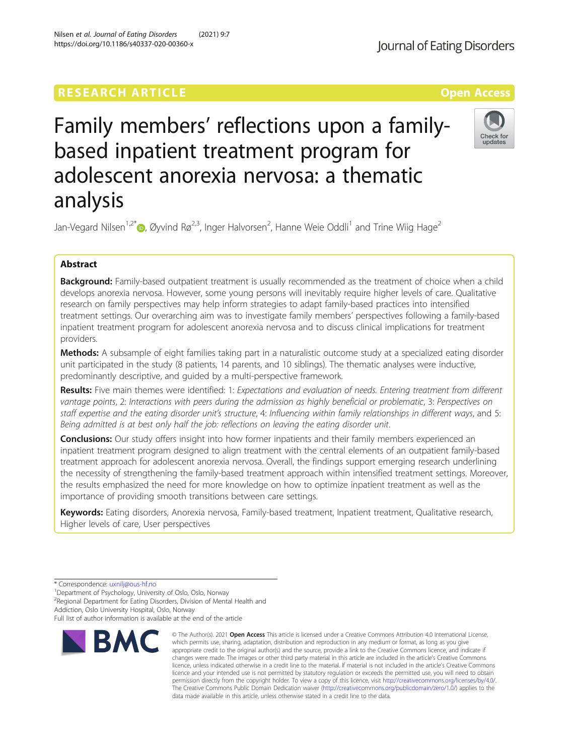## **RESEARCH ARTICLE Example 2018 12:30 THE Open Access**

# Family members' reflections upon a familybased inpatient treatment program for adolescent anorexia nervosa: a thematic analysis

Jan-Vegard Nilsen<sup>1,2[\\*](http://orcid.org/0000-0002-2750-1185)</sup>®, Øyvind Rø<sup>2,3</sup>, Inger Halvorsen<sup>2</sup>, Hanne Weie Oddli<sup>1</sup> and Trine Wiig Hage<sup>2</sup>

## Abstract

Background: Family-based outpatient treatment is usually recommended as the treatment of choice when a child develops anorexia nervosa. However, some young persons will inevitably require higher levels of care. Qualitative research on family perspectives may help inform strategies to adapt family-based practices into intensified treatment settings. Our overarching aim was to investigate family members' perspectives following a family-based inpatient treatment program for adolescent anorexia nervosa and to discuss clinical implications for treatment providers.

Methods: A subsample of eight families taking part in a naturalistic outcome study at a specialized eating disorder unit participated in the study (8 patients, 14 parents, and 10 siblings). The thematic analyses were inductive, predominantly descriptive, and guided by a multi-perspective framework.

Results: Five main themes were identified: 1: Expectations and evaluation of needs. Entering treatment from different vantage points, 2: Interactions with peers during the admission as highly beneficial or problematic, 3: Perspectives on staff expertise and the eating disorder unit's structure, 4: Influencing within family relationships in different ways, and 5: Being admitted is at best only half the job: reflections on leaving the eating disorder unit.

**Conclusions:** Our study offers insight into how former inpatients and their family members experienced an inpatient treatment program designed to align treatment with the central elements of an outpatient family-based treatment approach for adolescent anorexia nervosa. Overall, the findings support emerging research underlining the necessity of strengthening the family-based treatment approach within intensified treatment settings. Moreover, the results emphasized the need for more knowledge on how to optimize inpatient treatment as well as the importance of providing smooth transitions between care settings.

Keywords: Eating disorders, Anorexia nervosa, Family-based treatment, Inpatient treatment, Qualitative research, Higher levels of care, User perspectives

> © The Author(s), 2021 **Open Access** This article is licensed under a Creative Commons Attribution 4.0 International License, which permits use, sharing, adaptation, distribution and reproduction in any medium or format, as long as you give

**RMC** 







<sup>\*</sup> Correspondence: [uxnilj@ous-hf.no](mailto:uxnilj@ous-hf.no) <sup>1</sup>

<sup>&</sup>lt;sup>1</sup>Department of Psychology, University of Oslo, Oslo, Norway

<sup>&</sup>lt;sup>2</sup> Regional Department for Eating Disorders, Division of Mental Health and Addiction, Oslo University Hospital, Oslo, Norway

Full list of author information is available at the end of the article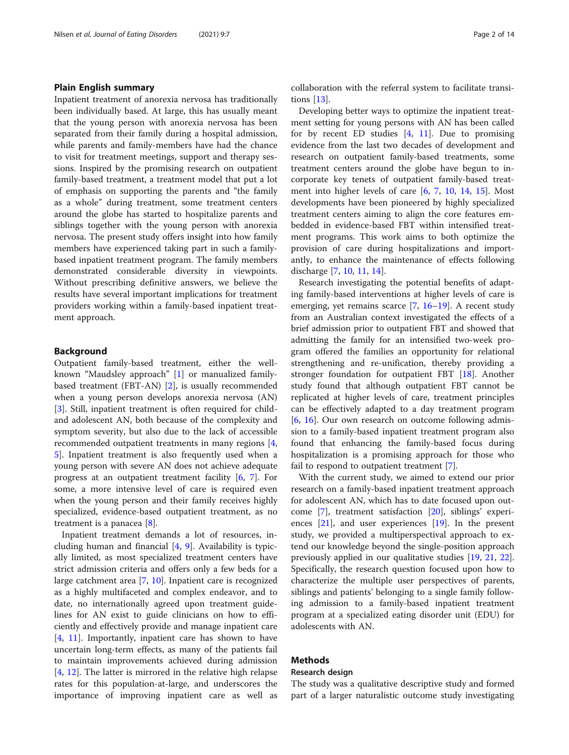### Plain English summary

Inpatient treatment of anorexia nervosa has traditionally been individually based. At large, this has usually meant that the young person with anorexia nervosa has been separated from their family during a hospital admission, while parents and family-members have had the chance to visit for treatment meetings, support and therapy sessions. Inspired by the promising research on outpatient family-based treatment, a treatment model that put a lot of emphasis on supporting the parents and "the family as a whole" during treatment, some treatment centers around the globe has started to hospitalize parents and siblings together with the young person with anorexia nervosa. The present study offers insight into how family members have experienced taking part in such a familybased inpatient treatment program. The family members demonstrated considerable diversity in viewpoints. Without prescribing definitive answers, we believe the results have several important implications for treatment providers working within a family-based inpatient treatment approach.

#### Background

Outpatient family-based treatment, either the wellknown "Maudsley approach" [\[1\]](#page-12-0) or manualized familybased treatment (FBT-AN) [[2\]](#page-12-0), is usually recommended when a young person develops anorexia nervosa (AN) [[3\]](#page-12-0). Still, inpatient treatment is often required for childand adolescent AN, both because of the complexity and symptom severity, but also due to the lack of accessible recommended outpatient treatments in many regions [\[4](#page-12-0), [5\]](#page-12-0). Inpatient treatment is also frequently used when a young person with severe AN does not achieve adequate progress at an outpatient treatment facility [[6](#page-12-0), [7](#page-12-0)]. For some, a more intensive level of care is required even when the young person and their family receives highly specialized, evidence-based outpatient treatment, as no treatment is a panacea [[8\]](#page-12-0).

Inpatient treatment demands a lot of resources, including human and financial [\[4,](#page-12-0) [9\]](#page-12-0). Availability is typically limited, as most specialized treatment centers have strict admission criteria and offers only a few beds for a large catchment area [[7](#page-12-0), [10](#page-12-0)]. Inpatient care is recognized as a highly multifaceted and complex endeavor, and to date, no internationally agreed upon treatment guidelines for AN exist to guide clinicians on how to efficiently and effectively provide and manage inpatient care [[4,](#page-12-0) [11](#page-12-0)]. Importantly, inpatient care has shown to have uncertain long-term effects, as many of the patients fail to maintain improvements achieved during admission [[4,](#page-12-0) [12\]](#page-12-0). The latter is mirrored in the relative high relapse rates for this population-at-large, and underscores the importance of improving inpatient care as well as collaboration with the referral system to facilitate transitions [[13\]](#page-12-0).

Developing better ways to optimize the inpatient treatment setting for young persons with AN has been called for by recent ED studies  $[4, 11]$  $[4, 11]$  $[4, 11]$  $[4, 11]$ . Due to promising evidence from the last two decades of development and research on outpatient family-based treatments, some treatment centers around the globe have begun to incorporate key tenets of outpatient family-based treatment into higher levels of care [\[6](#page-12-0), [7](#page-12-0), [10,](#page-12-0) [14,](#page-12-0) [15\]](#page-12-0). Most developments have been pioneered by highly specialized treatment centers aiming to align the core features embedded in evidence-based FBT within intensified treatment programs. This work aims to both optimize the provision of care during hospitalizations and importantly, to enhance the maintenance of effects following discharge [\[7](#page-12-0), [10](#page-12-0), [11,](#page-12-0) [14\]](#page-12-0).

Research investigating the potential benefits of adapting family-based interventions at higher levels of care is emerging, yet remains scarce [[7,](#page-12-0) [16](#page-12-0)–[19](#page-12-0)]. A recent study from an Australian context investigated the effects of a brief admission prior to outpatient FBT and showed that admitting the family for an intensified two-week program offered the families an opportunity for relational strengthening and re-unification, thereby providing a stronger foundation for outpatient FBT [\[18\]](#page-12-0). Another study found that although outpatient FBT cannot be replicated at higher levels of care, treatment principles can be effectively adapted to a day treatment program [[6,](#page-12-0) [16](#page-12-0)]. Our own research on outcome following admission to a family-based inpatient treatment program also found that enhancing the family-based focus during hospitalization is a promising approach for those who fail to respond to outpatient treatment [\[7](#page-12-0)].

With the current study, we aimed to extend our prior research on a family-based inpatient treatment approach for adolescent AN, which has to date focused upon outcome [[7](#page-12-0)], treatment satisfaction [\[20](#page-12-0)], siblings' experiences [[21\]](#page-12-0), and user experiences [\[19](#page-12-0)]. In the present study, we provided a multiperspectival approach to extend our knowledge beyond the single-position approach previously applied in our qualitative studies [\[19](#page-12-0), [21,](#page-12-0) [22](#page-12-0)]. Specifically, the research question focused upon how to characterize the multiple user perspectives of parents, siblings and patients' belonging to a single family following admission to a family-based inpatient treatment program at a specialized eating disorder unit (EDU) for adolescents with AN.

## Methods

## Research design

The study was a qualitative descriptive study and formed part of a larger naturalistic outcome study investigating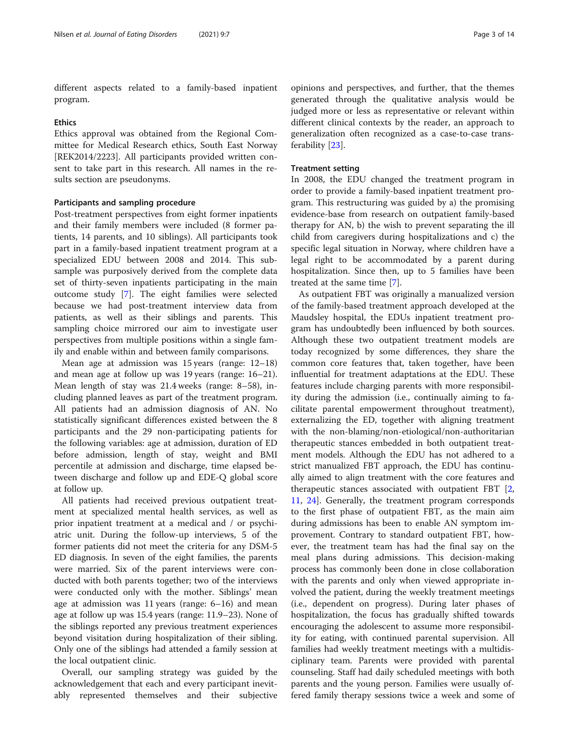different aspects related to a family-based inpatient program.

#### **Ethics**

Ethics approval was obtained from the Regional Committee for Medical Research ethics, South East Norway [REK2014/2223]. All participants provided written consent to take part in this research. All names in the results section are pseudonyms.

#### Participants and sampling procedure

Post-treatment perspectives from eight former inpatients and their family members were included (8 former patients, 14 parents, and 10 siblings). All participants took part in a family-based inpatient treatment program at a specialized EDU between 2008 and 2014. This subsample was purposively derived from the complete data set of thirty-seven inpatients participating in the main outcome study [[7\]](#page-12-0). The eight families were selected because we had post-treatment interview data from patients, as well as their siblings and parents. This sampling choice mirrored our aim to investigate user perspectives from multiple positions within a single family and enable within and between family comparisons.

Mean age at admission was 15 years (range: 12–18) and mean age at follow up was 19 years (range: 16–21). Mean length of stay was 21.4 weeks (range: 8–58), including planned leaves as part of the treatment program. All patients had an admission diagnosis of AN. No statistically significant differences existed between the 8 participants and the 29 non-participating patients for the following variables: age at admission, duration of ED before admission, length of stay, weight and BMI percentile at admission and discharge, time elapsed between discharge and follow up and EDE-Q global score at follow up.

All patients had received previous outpatient treatment at specialized mental health services, as well as prior inpatient treatment at a medical and / or psychiatric unit. During the follow-up interviews, 5 of the former patients did not meet the criteria for any DSM-5 ED diagnosis. In seven of the eight families, the parents were married. Six of the parent interviews were conducted with both parents together; two of the interviews were conducted only with the mother. Siblings' mean age at admission was 11 years (range: 6–16) and mean age at follow up was 15.4 years (range: 11.9–23). None of the siblings reported any previous treatment experiences beyond visitation during hospitalization of their sibling. Only one of the siblings had attended a family session at the local outpatient clinic.

Overall, our sampling strategy was guided by the acknowledgement that each and every participant inevitably represented themselves and their subjective

opinions and perspectives, and further, that the themes generated through the qualitative analysis would be judged more or less as representative or relevant within different clinical contexts by the reader, an approach to generalization often recognized as a case-to-case transferability [[23](#page-13-0)].

#### Treatment setting

In 2008, the EDU changed the treatment program in order to provide a family-based inpatient treatment program. This restructuring was guided by a) the promising evidence-base from research on outpatient family-based therapy for AN, b) the wish to prevent separating the ill child from caregivers during hospitalizations and c) the specific legal situation in Norway, where children have a legal right to be accommodated by a parent during hospitalization. Since then, up to 5 families have been treated at the same time [[7](#page-12-0)].

As outpatient FBT was originally a manualized version of the family-based treatment approach developed at the Maudsley hospital, the EDUs inpatient treatment program has undoubtedly been influenced by both sources. Although these two outpatient treatment models are today recognized by some differences, they share the common core features that, taken together, have been influential for treatment adaptations at the EDU. These features include charging parents with more responsibility during the admission (i.e., continually aiming to facilitate parental empowerment throughout treatment), externalizing the ED, together with aligning treatment with the non-blaming/non-etiological/non-authoritarian therapeutic stances embedded in both outpatient treatment models. Although the EDU has not adhered to a strict manualized FBT approach, the EDU has continually aimed to align treatment with the core features and therapeutic stances associated with outpatient FBT [[2](#page-12-0), [11,](#page-12-0) [24](#page-13-0)]. Generally, the treatment program corresponds to the first phase of outpatient FBT, as the main aim during admissions has been to enable AN symptom improvement. Contrary to standard outpatient FBT, however, the treatment team has had the final say on the meal plans during admissions. This decision-making process has commonly been done in close collaboration with the parents and only when viewed appropriate involved the patient, during the weekly treatment meetings (i.e., dependent on progress). During later phases of hospitalization, the focus has gradually shifted towards encouraging the adolescent to assume more responsibility for eating, with continued parental supervision. All families had weekly treatment meetings with a multidisciplinary team. Parents were provided with parental counseling. Staff had daily scheduled meetings with both parents and the young person. Families were usually offered family therapy sessions twice a week and some of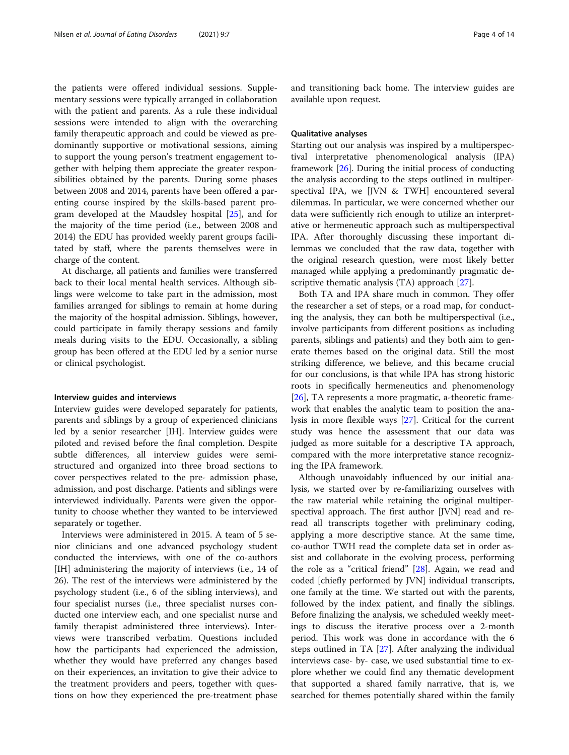the patients were offered individual sessions. Supplementary sessions were typically arranged in collaboration with the patient and parents. As a rule these individual sessions were intended to align with the overarching family therapeutic approach and could be viewed as predominantly supportive or motivational sessions, aiming to support the young person's treatment engagement together with helping them appreciate the greater responsibilities obtained by the parents. During some phases between 2008 and 2014, parents have been offered a parenting course inspired by the skills-based parent program developed at the Maudsley hospital [[25\]](#page-13-0), and for the majority of the time period (i.e., between 2008 and 2014) the EDU has provided weekly parent groups facilitated by staff, where the parents themselves were in charge of the content.

At discharge, all patients and families were transferred back to their local mental health services. Although siblings were welcome to take part in the admission, most families arranged for siblings to remain at home during the majority of the hospital admission. Siblings, however, could participate in family therapy sessions and family meals during visits to the EDU. Occasionally, a sibling group has been offered at the EDU led by a senior nurse or clinical psychologist.

#### Interview guides and interviews

Interview guides were developed separately for patients, parents and siblings by a group of experienced clinicians led by a senior researcher [IH]. Interview guides were piloted and revised before the final completion. Despite subtle differences, all interview guides were semistructured and organized into three broad sections to cover perspectives related to the pre- admission phase, admission, and post discharge. Patients and siblings were interviewed individually. Parents were given the opportunity to choose whether they wanted to be interviewed separately or together.

Interviews were administered in 2015. A team of 5 senior clinicians and one advanced psychology student conducted the interviews, with one of the co-authors [IH] administering the majority of interviews (i.e., 14 of 26). The rest of the interviews were administered by the psychology student (i.e., 6 of the sibling interviews), and four specialist nurses (i.e., three specialist nurses conducted one interview each, and one specialist nurse and family therapist administered three interviews). Interviews were transcribed verbatim. Questions included how the participants had experienced the admission, whether they would have preferred any changes based on their experiences, an invitation to give their advice to the treatment providers and peers, together with questions on how they experienced the pre-treatment phase

and transitioning back home. The interview guides are available upon request.

#### Qualitative analyses

Starting out our analysis was inspired by a multiperspectival interpretative phenomenological analysis (IPA) framework [\[26\]](#page-13-0). During the initial process of conducting the analysis according to the steps outlined in multiperspectival IPA, we [JVN & TWH] encountered several dilemmas. In particular, we were concerned whether our data were sufficiently rich enough to utilize an interpretative or hermeneutic approach such as multiperspectival IPA. After thoroughly discussing these important dilemmas we concluded that the raw data, together with the original research question, were most likely better managed while applying a predominantly pragmatic descriptive thematic analysis (TA) approach [\[27](#page-13-0)].

Both TA and IPA share much in common. They offer the researcher a set of steps, or a road map, for conducting the analysis, they can both be multiperspectival (i.e., involve participants from different positions as including parents, siblings and patients) and they both aim to generate themes based on the original data. Still the most striking difference, we believe, and this became crucial for our conclusions, is that while IPA has strong historic roots in specifically hermeneutics and phenomenology [[26\]](#page-13-0), TA represents a more pragmatic, a-theoretic framework that enables the analytic team to position the analysis in more flexible ways [[27\]](#page-13-0). Critical for the current study was hence the assessment that our data was judged as more suitable for a descriptive TA approach, compared with the more interpretative stance recognizing the IPA framework.

Although unavoidably influenced by our initial analysis, we started over by re-familiarizing ourselves with the raw material while retaining the original multiperspectival approach. The first author [JVN] read and reread all transcripts together with preliminary coding, applying a more descriptive stance. At the same time, co-author TWH read the complete data set in order assist and collaborate in the evolving process, performing the role as a "critical friend" [\[28](#page-13-0)]. Again, we read and coded [chiefly performed by JVN] individual transcripts, one family at the time. We started out with the parents, followed by the index patient, and finally the siblings. Before finalizing the analysis, we scheduled weekly meetings to discuss the iterative process over a 2-month period. This work was done in accordance with the 6 steps outlined in TA [\[27](#page-13-0)]. After analyzing the individual interviews case- by- case, we used substantial time to explore whether we could find any thematic development that supported a shared family narrative, that is, we searched for themes potentially shared within the family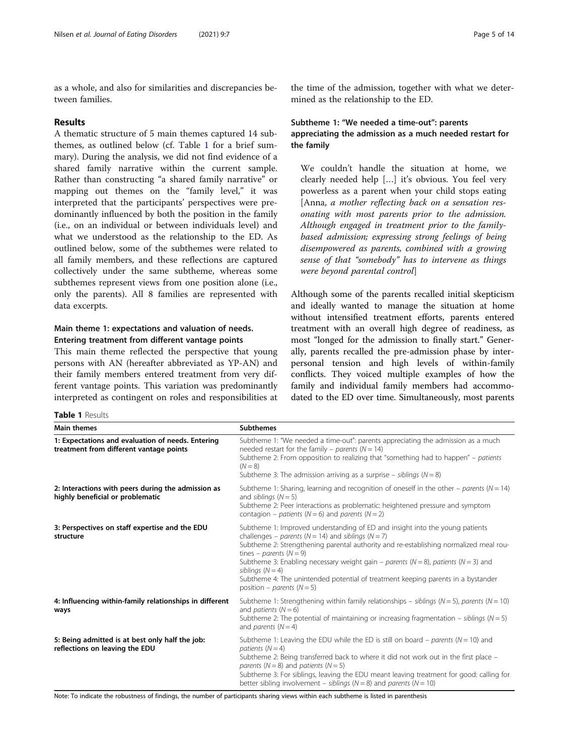<span id="page-4-0"></span>as a whole, and also for similarities and discrepancies between families.

## Results

A thematic structure of 5 main themes captured 14 subthemes, as outlined below (cf. Table 1 for a brief summary). During the analysis, we did not find evidence of a shared family narrative within the current sample. Rather than constructing "a shared family narrative" or mapping out themes on the "family level," it was interpreted that the participants' perspectives were predominantly influenced by both the position in the family (i.e., on an individual or between individuals level) and what we understood as the relationship to the ED. As outlined below, some of the subthemes were related to all family members, and these reflections are captured collectively under the same subtheme, whereas some subthemes represent views from one position alone (i.e., only the parents). All 8 families are represented with data excerpts.

## Main theme 1: expectations and valuation of needs. Entering treatment from different vantage points

This main theme reflected the perspective that young persons with AN (hereafter abbreviated as YP-AN) and their family members entered treatment from very different vantage points. This variation was predominantly interpreted as contingent on roles and responsibilities at

Table 1 Results

the time of the admission, together with what we determined as the relationship to the ED.

## Subtheme 1: "We needed a time-out": parents appreciating the admission as a much needed restart for the family

We couldn't handle the situation at home, we clearly needed help […] it's obvious. You feel very powerless as a parent when your child stops eating [Anna, a mother reflecting back on a sensation resonating with most parents prior to the admission. Although engaged in treatment prior to the familybased admission; expressing strong feelings of being disempowered as parents, combined with a growing sense of that "somebody" has to intervene as things were beyond parental control]

Although some of the parents recalled initial skepticism and ideally wanted to manage the situation at home without intensified treatment efforts, parents entered treatment with an overall high degree of readiness, as most "longed for the admission to finally start." Generally, parents recalled the pre-admission phase by interpersonal tension and high levels of within-family conflicts. They voiced multiple examples of how the family and individual family members had accommodated to the ED over time. Simultaneously, most parents

| <b>Main themes</b>                                                                           | <b>Subthemes</b>                                                                                                                                                                                                                                                                                                                                                                                                                                                                                                    |
|----------------------------------------------------------------------------------------------|---------------------------------------------------------------------------------------------------------------------------------------------------------------------------------------------------------------------------------------------------------------------------------------------------------------------------------------------------------------------------------------------------------------------------------------------------------------------------------------------------------------------|
| 1: Expectations and evaluation of needs. Entering<br>treatment from different vantage points | Subtheme 1: "We needed a time-out": parents appreciating the admission as a much<br>needed restart for the family – parents ( $N = 14$ )<br>Subtheme 2: From opposition to realizing that "something had to happen" - patients<br>$(N = 8)$<br>Subtheme 3: The admission arriving as a surprise – siblings ( $N = 8$ )                                                                                                                                                                                              |
| 2: Interactions with peers during the admission as<br>highly beneficial or problematic       | Subtheme 1: Sharing, learning and recognition of oneself in the other – parents ( $N = 14$ )<br>and siblings $(N = 5)$<br>Subtheme 2: Peer interactions as problematic: heightened pressure and symptom<br>contagion – patients ( $N = 6$ ) and parents ( $N = 2$ )                                                                                                                                                                                                                                                 |
| 3: Perspectives on staff expertise and the EDU<br>structure                                  | Subtheme 1: Improved understanding of ED and insight into the young patients<br>challenges – parents ( $N = 14$ ) and siblings ( $N = 7$ )<br>Subtheme 2: Strengthening parental authority and re-establishing normalized meal rou-<br>tines – parents ( $N = 9$ )<br>Subtheme 3: Enabling necessary weight gain – parents ( $N = 8$ ), patients ( $N = 3$ ) and<br>siblings $(N = 4)$<br>Subtheme 4: The unintended potential of treatment keeping parents in a bystander<br>position – <i>parents</i> ( $N = 5$ ) |
| 4: Influencing within-family relationships in different<br>ways                              | Subtheme 1: Strengthening within family relationships - siblings ( $N = 5$ ), parents ( $N = 10$ )<br>and <i>patients</i> $(N = 6)$<br>Subtheme 2: The potential of maintaining or increasing fragmentation – siblings ( $N = 5$ )<br>and <i>parents</i> $(N = 4)$                                                                                                                                                                                                                                                  |
| 5: Being admitted is at best only half the job:<br>reflections on leaving the EDU            | Subtheme 1: Leaving the EDU while the ED is still on board - parents ( $N = 10$ ) and<br>patients $(N = 4)$<br>Subtheme 2: Being transferred back to where it did not work out in the first place –<br>parents ( $N = 8$ ) and patients ( $N = 5$ )<br>Subtheme 3: For siblings, leaving the EDU meant leaving treatment for good: calling for<br>better sibling involvement – siblings ( $N = 8$ ) and parents ( $N = 10$ )                                                                                        |

Note: To indicate the robustness of findings, the number of participants sharing views within each subtheme is listed in parenthesis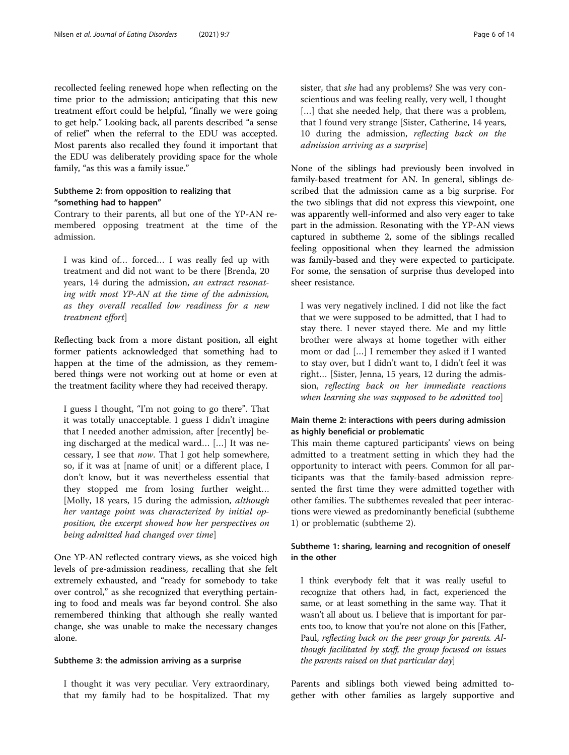recollected feeling renewed hope when reflecting on the time prior to the admission; anticipating that this new treatment effort could be helpful, "finally we were going to get help." Looking back, all parents described "a sense of relief" when the referral to the EDU was accepted. Most parents also recalled they found it important that the EDU was deliberately providing space for the whole family, "as this was a family issue."

## Subtheme 2: from opposition to realizing that "something had to happen"

Contrary to their parents, all but one of the YP-AN remembered opposing treatment at the time of the admission.

I was kind of… forced… I was really fed up with treatment and did not want to be there [Brenda, 20 years, 14 during the admission, an extract resonating with most YP-AN at the time of the admission, as they overall recalled low readiness for a new treatment effort]

Reflecting back from a more distant position, all eight former patients acknowledged that something had to happen at the time of the admission, as they remembered things were not working out at home or even at the treatment facility where they had received therapy.

I guess I thought, "I'm not going to go there". That it was totally unacceptable. I guess I didn't imagine that I needed another admission, after [recently] being discharged at the medical ward… […] It was necessary, I see that now. That I got help somewhere, so, if it was at [name of unit] or a different place, I don't know, but it was nevertheless essential that they stopped me from losing further weight… [Molly, 18 years, 15 during the admission, *although* her vantage point was characterized by initial opposition, the excerpt showed how her perspectives on being admitted had changed over time]

One YP-AN reflected contrary views, as she voiced high levels of pre-admission readiness, recalling that she felt extremely exhausted, and "ready for somebody to take over control," as she recognized that everything pertaining to food and meals was far beyond control. She also remembered thinking that although she really wanted change, she was unable to make the necessary changes alone.

#### Subtheme 3: the admission arriving as a surprise

I thought it was very peculiar. Very extraordinary, that my family had to be hospitalized. That my sister, that she had any problems? She was very conscientious and was feeling really, very well, I thought [...] that she needed help, that there was a problem, that I found very strange [Sister, Catherine, 14 years, 10 during the admission, reflecting back on the admission arriving as a surprise]

None of the siblings had previously been involved in family-based treatment for AN. In general, siblings described that the admission came as a big surprise. For the two siblings that did not express this viewpoint, one was apparently well-informed and also very eager to take part in the admission. Resonating with the YP-AN views captured in subtheme 2, some of the siblings recalled feeling oppositional when they learned the admission was family-based and they were expected to participate. For some, the sensation of surprise thus developed into sheer resistance.

I was very negatively inclined. I did not like the fact that we were supposed to be admitted, that I had to stay there. I never stayed there. Me and my little brother were always at home together with either mom or dad […] I remember they asked if I wanted to stay over, but I didn't want to, I didn't feel it was right… [Sister, Jenna, 15 years, 12 during the admission, reflecting back on her immediate reactions when learning she was supposed to be admitted too]

## Main theme 2: interactions with peers during admission as highly beneficial or problematic

This main theme captured participants' views on being admitted to a treatment setting in which they had the opportunity to interact with peers. Common for all participants was that the family-based admission represented the first time they were admitted together with other families. The subthemes revealed that peer interactions were viewed as predominantly beneficial (subtheme 1) or problematic (subtheme 2).

## Subtheme 1: sharing, learning and recognition of oneself in the other

I think everybody felt that it was really useful to recognize that others had, in fact, experienced the same, or at least something in the same way. That it wasn't all about us. I believe that is important for parents too, to know that you're not alone on this [Father, Paul, reflecting back on the peer group for parents. Although facilitated by staff, the group focused on issues the parents raised on that particular day]

Parents and siblings both viewed being admitted together with other families as largely supportive and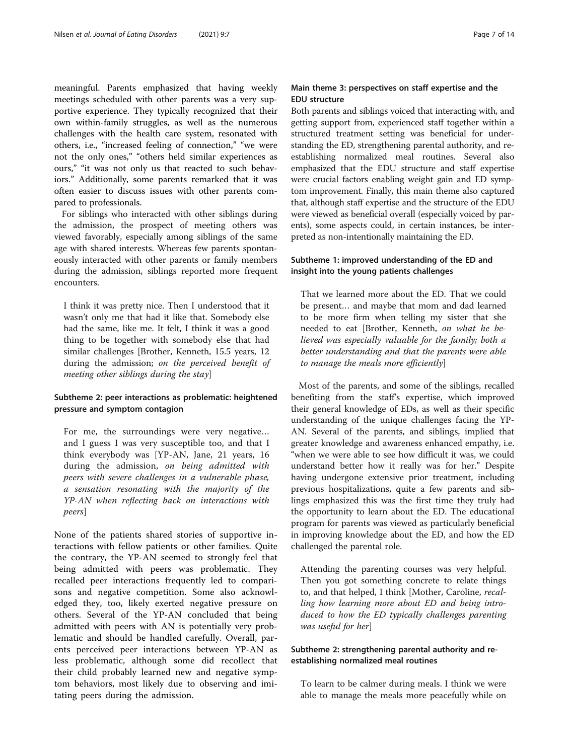meaningful. Parents emphasized that having weekly meetings scheduled with other parents was a very supportive experience. They typically recognized that their own within-family struggles, as well as the numerous challenges with the health care system, resonated with others, i.e., "increased feeling of connection," "we were not the only ones," "others held similar experiences as ours," "it was not only us that reacted to such behaviors." Additionally, some parents remarked that it was often easier to discuss issues with other parents compared to professionals.

For siblings who interacted with other siblings during the admission, the prospect of meeting others was viewed favorably, especially among siblings of the same age with shared interests. Whereas few parents spontaneously interacted with other parents or family members during the admission, siblings reported more frequent encounters.

I think it was pretty nice. Then I understood that it wasn't only me that had it like that. Somebody else had the same, like me. It felt, I think it was a good thing to be together with somebody else that had similar challenges [Brother, Kenneth, 15.5 years, 12 during the admission; on the perceived benefit of meeting other siblings during the stay]

## Subtheme 2: peer interactions as problematic: heightened pressure and symptom contagion

For me, the surroundings were very negative… and I guess I was very susceptible too, and that I think everybody was [YP-AN, Jane, 21 years, 16 during the admission, on being admitted with peers with severe challenges in a vulnerable phase, a sensation resonating with the majority of the YP-AN when reflecting back on interactions with peers]

None of the patients shared stories of supportive interactions with fellow patients or other families. Quite the contrary, the YP-AN seemed to strongly feel that being admitted with peers was problematic. They recalled peer interactions frequently led to comparisons and negative competition. Some also acknowledged they, too, likely exerted negative pressure on others. Several of the YP-AN concluded that being admitted with peers with AN is potentially very problematic and should be handled carefully. Overall, parents perceived peer interactions between YP-AN as less problematic, although some did recollect that their child probably learned new and negative symptom behaviors, most likely due to observing and imitating peers during the admission.

## Main theme 3: perspectives on staff expertise and the EDU structure

Both parents and siblings voiced that interacting with, and getting support from, experienced staff together within a structured treatment setting was beneficial for understanding the ED, strengthening parental authority, and reestablishing normalized meal routines. Several also emphasized that the EDU structure and staff expertise were crucial factors enabling weight gain and ED symptom improvement. Finally, this main theme also captured that, although staff expertise and the structure of the EDU were viewed as beneficial overall (especially voiced by parents), some aspects could, in certain instances, be interpreted as non-intentionally maintaining the ED.

## Subtheme 1: improved understanding of the ED and insight into the young patients challenges

That we learned more about the ED. That we could be present… and maybe that mom and dad learned to be more firm when telling my sister that she needed to eat [Brother, Kenneth, on what he believed was especially valuable for the family; both a better understanding and that the parents were able to manage the meals more efficiently]

Most of the parents, and some of the siblings, recalled benefiting from the staff's expertise, which improved their general knowledge of EDs, as well as their specific understanding of the unique challenges facing the YP-AN. Several of the parents, and siblings, implied that greater knowledge and awareness enhanced empathy, i.e. "when we were able to see how difficult it was, we could understand better how it really was for her." Despite having undergone extensive prior treatment, including previous hospitalizations, quite a few parents and siblings emphasized this was the first time they truly had the opportunity to learn about the ED. The educational program for parents was viewed as particularly beneficial in improving knowledge about the ED, and how the ED challenged the parental role.

Attending the parenting courses was very helpful. Then you got something concrete to relate things to, and that helped, I think [Mother, Caroline, recalling how learning more about ED and being introduced to how the ED typically challenges parenting was useful for her]

## Subtheme 2: strengthening parental authority and reestablishing normalized meal routines

To learn to be calmer during meals. I think we were able to manage the meals more peacefully while on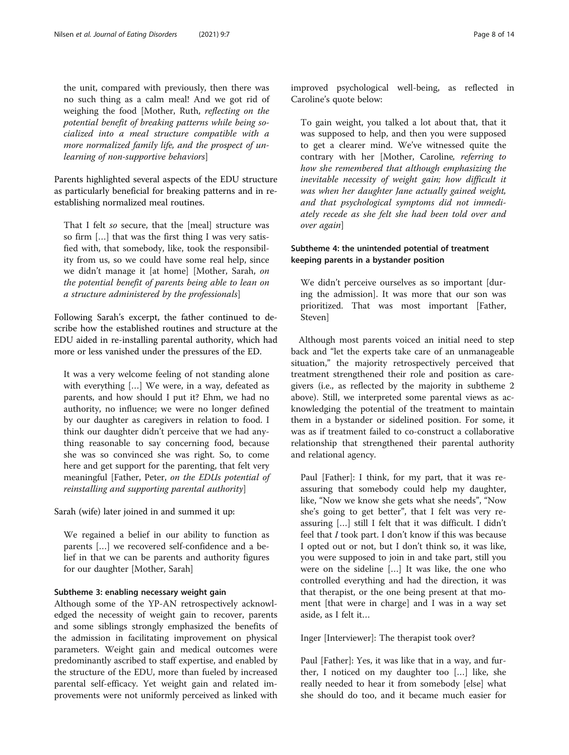the unit, compared with previously, then there was no such thing as a calm meal! And we got rid of weighing the food [Mother, Ruth, reflecting on the potential benefit of breaking patterns while being socialized into a meal structure compatible with a more normalized family life, and the prospect of unlearning of non-supportive behaviors]

Parents highlighted several aspects of the EDU structure as particularly beneficial for breaking patterns and in reestablishing normalized meal routines.

That I felt so secure, that the [meal] structure was so firm […] that was the first thing I was very satisfied with, that somebody, like, took the responsibility from us, so we could have some real help, since we didn't manage it [at home] [Mother, Sarah, on the potential benefit of parents being able to lean on a structure administered by the professionals]

Following Sarah's excerpt, the father continued to describe how the established routines and structure at the EDU aided in re-installing parental authority, which had more or less vanished under the pressures of the ED.

It was a very welcome feeling of not standing alone with everything […] We were, in a way, defeated as parents, and how should I put it? Ehm, we had no authority, no influence; we were no longer defined by our daughter as caregivers in relation to food. I think our daughter didn't perceive that we had anything reasonable to say concerning food, because she was so convinced she was right. So, to come here and get support for the parenting, that felt very meaningful [Father, Peter, on the EDUs potential of reinstalling and supporting parental authority]

Sarah (wife) later joined in and summed it up:

We regained a belief in our ability to function as parents […] we recovered self-confidence and a belief in that we can be parents and authority figures for our daughter [Mother, Sarah]

## Subtheme 3: enabling necessary weight gain

Although some of the YP-AN retrospectively acknowledged the necessity of weight gain to recover, parents and some siblings strongly emphasized the benefits of the admission in facilitating improvement on physical parameters. Weight gain and medical outcomes were predominantly ascribed to staff expertise, and enabled by the structure of the EDU, more than fueled by increased parental self-efficacy. Yet weight gain and related improvements were not uniformly perceived as linked with

improved psychological well-being, as reflected in Caroline's quote below:

To gain weight, you talked a lot about that, that it was supposed to help, and then you were supposed to get a clearer mind. We've witnessed quite the contrary with her [Mother, Caroline, referring to how she remembered that although emphasizing the inevitable necessity of weight gain; how difficult it was when her daughter Jane actually gained weight, and that psychological symptoms did not immediately recede as she felt she had been told over and over again]

## Subtheme 4: the unintended potential of treatment keeping parents in a bystander position

We didn't perceive ourselves as so important [during the admission]. It was more that our son was prioritized. That was most important [Father, Steven]

Although most parents voiced an initial need to step back and "let the experts take care of an unmanageable situation," the majority retrospectively perceived that treatment strengthened their role and position as caregivers (i.e., as reflected by the majority in subtheme 2 above). Still, we interpreted some parental views as acknowledging the potential of the treatment to maintain them in a bystander or sidelined position. For some, it was as if treatment failed to co-construct a collaborative relationship that strengthened their parental authority and relational agency.

Paul [Father]: I think, for my part, that it was reassuring that somebody could help my daughter, like, "Now we know she gets what she needs", "Now she's going to get better", that I felt was very reassuring […] still I felt that it was difficult. I didn't feel that I took part. I don't know if this was because I opted out or not, but I don't think so, it was like, you were supposed to join in and take part, still you were on the sideline […] It was like, the one who controlled everything and had the direction, it was that therapist, or the one being present at that moment [that were in charge] and I was in a way set aside, as I felt it…

Inger [Interviewer]: The therapist took over?

Paul [Father]: Yes, it was like that in a way, and further, I noticed on my daughter too […] like, she really needed to hear it from somebody [else] what she should do too, and it became much easier for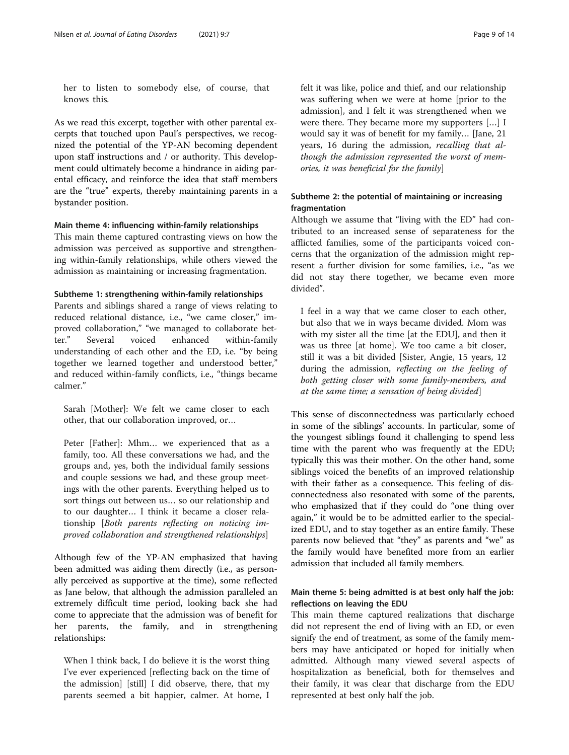her to listen to somebody else, of course, that knows this.

As we read this excerpt, together with other parental excerpts that touched upon Paul's perspectives, we recognized the potential of the YP-AN becoming dependent upon staff instructions and / or authority. This development could ultimately become a hindrance in aiding parental efficacy, and reinforce the idea that staff members are the "true" experts, thereby maintaining parents in a bystander position.

#### Main theme 4: influencing within-family relationships

This main theme captured contrasting views on how the admission was perceived as supportive and strengthening within-family relationships, while others viewed the admission as maintaining or increasing fragmentation.

#### Subtheme 1: strengthening within-family relationships

Parents and siblings shared a range of views relating to reduced relational distance, i.e., "we came closer," improved collaboration," "we managed to collaborate better." Several voiced enhanced within-family understanding of each other and the ED, i.e. "by being together we learned together and understood better," and reduced within-family conflicts, i.e., "things became calmer."

Sarah [Mother]: We felt we came closer to each other, that our collaboration improved, or…

Peter [Father]: Mhm… we experienced that as a family, too. All these conversations we had, and the groups and, yes, both the individual family sessions and couple sessions we had, and these group meetings with the other parents. Everything helped us to sort things out between us… so our relationship and to our daughter… I think it became a closer relationship [Both parents reflecting on noticing improved collaboration and strengthened relationships]

Although few of the YP-AN emphasized that having been admitted was aiding them directly (i.e., as personally perceived as supportive at the time), some reflected as Jane below, that although the admission paralleled an extremely difficult time period, looking back she had come to appreciate that the admission was of benefit for her parents, the family, and in strengthening relationships:

When I think back, I do believe it is the worst thing I've ever experienced [reflecting back on the time of the admission] [still] I did observe, there, that my parents seemed a bit happier, calmer. At home, I

felt it was like, police and thief, and our relationship was suffering when we were at home [prior to the admission], and I felt it was strengthened when we were there. They became more my supporters […] I would say it was of benefit for my family… [Jane, 21 years, 16 during the admission, recalling that although the admission represented the worst of memories, it was beneficial for the family]

## Subtheme 2: the potential of maintaining or increasing fragmentation

Although we assume that "living with the ED" had contributed to an increased sense of separateness for the afflicted families, some of the participants voiced concerns that the organization of the admission might represent a further division for some families, i.e., "as we did not stay there together, we became even more divided".

I feel in a way that we came closer to each other, but also that we in ways became divided. Mom was with my sister all the time [at the EDU], and then it was us three [at home]. We too came a bit closer, still it was a bit divided [Sister, Angie, 15 years, 12 during the admission, reflecting on the feeling of both getting closer with some family-members, and at the same time; a sensation of being divided]

This sense of disconnectedness was particularly echoed in some of the siblings' accounts. In particular, some of the youngest siblings found it challenging to spend less time with the parent who was frequently at the EDU; typically this was their mother. On the other hand, some siblings voiced the benefits of an improved relationship with their father as a consequence. This feeling of disconnectedness also resonated with some of the parents, who emphasized that if they could do "one thing over again," it would be to be admitted earlier to the specialized EDU, and to stay together as an entire family. These parents now believed that "they" as parents and "we" as the family would have benefited more from an earlier admission that included all family members.

## Main theme 5: being admitted is at best only half the job: reflections on leaving the EDU

This main theme captured realizations that discharge did not represent the end of living with an ED, or even signify the end of treatment, as some of the family members may have anticipated or hoped for initially when admitted. Although many viewed several aspects of hospitalization as beneficial, both for themselves and their family, it was clear that discharge from the EDU represented at best only half the job.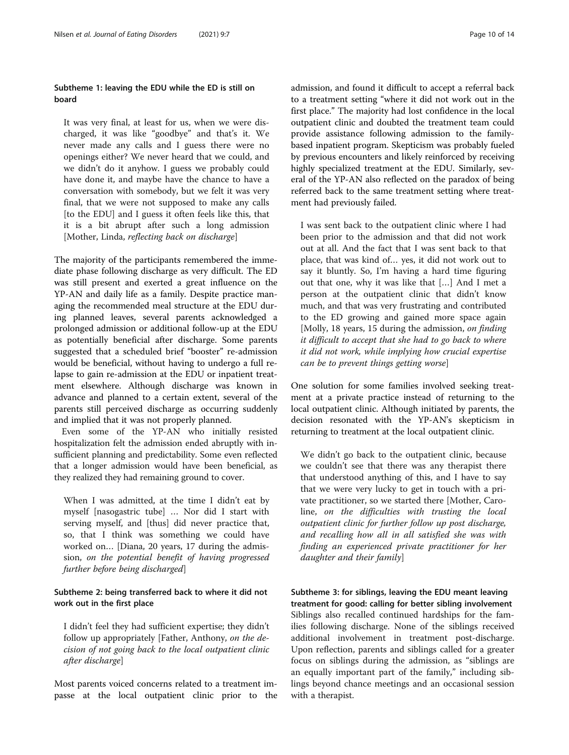## Subtheme 1: leaving the EDU while the ED is still on board

It was very final, at least for us, when we were discharged, it was like "goodbye" and that's it. We never made any calls and I guess there were no openings either? We never heard that we could, and we didn't do it anyhow. I guess we probably could have done it, and maybe have the chance to have a conversation with somebody, but we felt it was very final, that we were not supposed to make any calls [to the EDU] and I guess it often feels like this, that it is a bit abrupt after such a long admission [Mother, Linda, reflecting back on discharge]

The majority of the participants remembered the immediate phase following discharge as very difficult. The ED was still present and exerted a great influence on the YP-AN and daily life as a family. Despite practice managing the recommended meal structure at the EDU during planned leaves, several parents acknowledged a prolonged admission or additional follow-up at the EDU as potentially beneficial after discharge. Some parents suggested that a scheduled brief "booster" re-admission would be beneficial, without having to undergo a full relapse to gain re-admission at the EDU or inpatient treatment elsewhere. Although discharge was known in advance and planned to a certain extent, several of the parents still perceived discharge as occurring suddenly and implied that it was not properly planned.

Even some of the YP-AN who initially resisted hospitalization felt the admission ended abruptly with insufficient planning and predictability. Some even reflected that a longer admission would have been beneficial, as they realized they had remaining ground to cover.

When I was admitted, at the time I didn't eat by myself [nasogastric tube] … Nor did I start with serving myself, and [thus] did never practice that, so, that I think was something we could have worked on… [Diana, 20 years, 17 during the admission, on the potential benefit of having progressed further before being discharged]

## Subtheme 2: being transferred back to where it did not work out in the first place

I didn't feel they had sufficient expertise; they didn't follow up appropriately [Father, Anthony, on the decision of not going back to the local outpatient clinic after discharge]

Most parents voiced concerns related to a treatment impasse at the local outpatient clinic prior to the admission, and found it difficult to accept a referral back to a treatment setting "where it did not work out in the first place." The majority had lost confidence in the local outpatient clinic and doubted the treatment team could provide assistance following admission to the familybased inpatient program. Skepticism was probably fueled by previous encounters and likely reinforced by receiving highly specialized treatment at the EDU. Similarly, several of the YP-AN also reflected on the paradox of being referred back to the same treatment setting where treatment had previously failed.

I was sent back to the outpatient clinic where I had been prior to the admission and that did not work out at all. And the fact that I was sent back to that place, that was kind of… yes, it did not work out to say it bluntly. So, I'm having a hard time figuring out that one, why it was like that […] And I met a person at the outpatient clinic that didn't know much, and that was very frustrating and contributed to the ED growing and gained more space again [Molly, 18 years, 15 during the admission, on finding it difficult to accept that she had to go back to where it did not work, while implying how crucial expertise can be to prevent things getting worse]

One solution for some families involved seeking treatment at a private practice instead of returning to the local outpatient clinic. Although initiated by parents, the decision resonated with the YP-AN's skepticism in returning to treatment at the local outpatient clinic.

We didn't go back to the outpatient clinic, because we couldn't see that there was any therapist there that understood anything of this, and I have to say that we were very lucky to get in touch with a private practitioner, so we started there [Mother, Caroline, on the difficulties with trusting the local outpatient clinic for further follow up post discharge, and recalling how all in all satisfied she was with finding an experienced private practitioner for her daughter and their family]

Subtheme 3: for siblings, leaving the EDU meant leaving treatment for good: calling for better sibling involvement Siblings also recalled continued hardships for the families following discharge. None of the siblings received additional involvement in treatment post-discharge. Upon reflection, parents and siblings called for a greater focus on siblings during the admission, as "siblings are an equally important part of the family," including siblings beyond chance meetings and an occasional session with a therapist.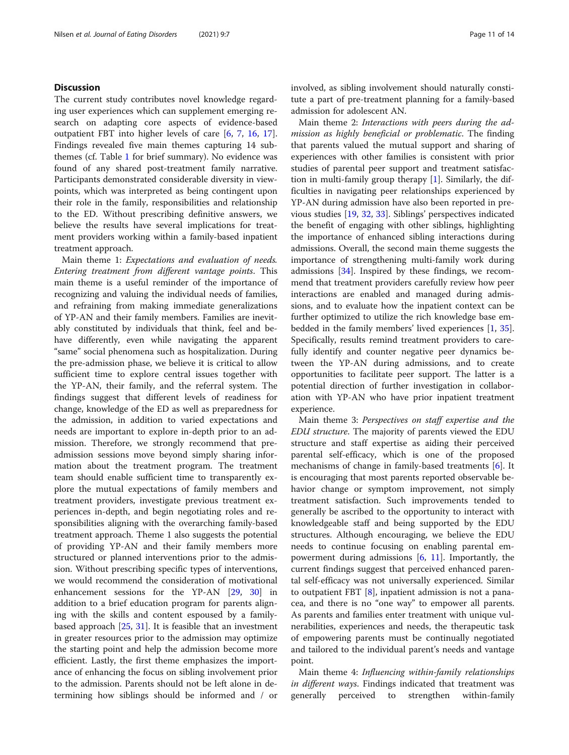## **Discussion**

The current study contributes novel knowledge regarding user experiences which can supplement emerging research on adapting core aspects of evidence-based outpatient FBT into higher levels of care [\[6](#page-12-0), [7](#page-12-0), [16](#page-12-0), [17](#page-12-0)]. Findings revealed five main themes capturing 14 subthemes (cf. Table [1](#page-4-0) for brief summary). No evidence was found of any shared post-treatment family narrative. Participants demonstrated considerable diversity in viewpoints, which was interpreted as being contingent upon their role in the family, responsibilities and relationship to the ED. Without prescribing definitive answers, we believe the results have several implications for treatment providers working within a family-based inpatient treatment approach.

Main theme 1: Expectations and evaluation of needs. Entering treatment from different vantage points. This main theme is a useful reminder of the importance of recognizing and valuing the individual needs of families, and refraining from making immediate generalizations of YP-AN and their family members. Families are inevitably constituted by individuals that think, feel and behave differently, even while navigating the apparent "same" social phenomena such as hospitalization. During the pre-admission phase, we believe it is critical to allow sufficient time to explore central issues together with the YP-AN, their family, and the referral system. The findings suggest that different levels of readiness for change, knowledge of the ED as well as preparedness for the admission, in addition to varied expectations and needs are important to explore in-depth prior to an admission. Therefore, we strongly recommend that preadmission sessions move beyond simply sharing information about the treatment program. The treatment team should enable sufficient time to transparently explore the mutual expectations of family members and treatment providers, investigate previous treatment experiences in-depth, and begin negotiating roles and responsibilities aligning with the overarching family-based treatment approach. Theme 1 also suggests the potential of providing YP-AN and their family members more structured or planned interventions prior to the admission. Without prescribing specific types of interventions, we would recommend the consideration of motivational enhancement sessions for the YP-AN [[29](#page-13-0), [30](#page-13-0)] in addition to a brief education program for parents aligning with the skills and content espoused by a familybased approach [[25,](#page-13-0) [31](#page-13-0)]. It is feasible that an investment in greater resources prior to the admission may optimize the starting point and help the admission become more efficient. Lastly, the first theme emphasizes the importance of enhancing the focus on sibling involvement prior to the admission. Parents should not be left alone in determining how siblings should be informed and / or involved, as sibling involvement should naturally constitute a part of pre-treatment planning for a family-based admission for adolescent AN.

Main theme 2: Interactions with peers during the admission as highly beneficial or problematic. The finding that parents valued the mutual support and sharing of experiences with other families is consistent with prior studies of parental peer support and treatment satisfaction in multi-family group therapy [\[1](#page-12-0)]. Similarly, the difficulties in navigating peer relationships experienced by YP-AN during admission have also been reported in previous studies [[19](#page-12-0), [32](#page-13-0), [33\]](#page-13-0). Siblings' perspectives indicated the benefit of engaging with other siblings, highlighting the importance of enhanced sibling interactions during admissions. Overall, the second main theme suggests the importance of strengthening multi-family work during admissions [\[34\]](#page-13-0). Inspired by these findings, we recommend that treatment providers carefully review how peer interactions are enabled and managed during admissions, and to evaluate how the inpatient context can be further optimized to utilize the rich knowledge base embedded in the family members' lived experiences [\[1,](#page-12-0) [35](#page-13-0)]. Specifically, results remind treatment providers to carefully identify and counter negative peer dynamics between the YP-AN during admissions, and to create opportunities to facilitate peer support. The latter is a potential direction of further investigation in collaboration with YP-AN who have prior inpatient treatment experience.

Main theme 3: Perspectives on staff expertise and the EDU structure. The majority of parents viewed the EDU structure and staff expertise as aiding their perceived parental self-efficacy, which is one of the proposed mechanisms of change in family-based treatments [[6](#page-12-0)]. It is encouraging that most parents reported observable behavior change or symptom improvement, not simply treatment satisfaction. Such improvements tended to generally be ascribed to the opportunity to interact with knowledgeable staff and being supported by the EDU structures. Although encouraging, we believe the EDU needs to continue focusing on enabling parental empowerment during admissions  $[6, 11]$  $[6, 11]$  $[6, 11]$ . Importantly, the current findings suggest that perceived enhanced parental self-efficacy was not universally experienced. Similar to outpatient FBT [[8\]](#page-12-0), inpatient admission is not a panacea, and there is no "one way" to empower all parents. As parents and families enter treatment with unique vulnerabilities, experiences and needs, the therapeutic task of empowering parents must be continually negotiated and tailored to the individual parent's needs and vantage point.

Main theme 4: Influencing within-family relationships in different ways. Findings indicated that treatment was generally perceived to strengthen within-family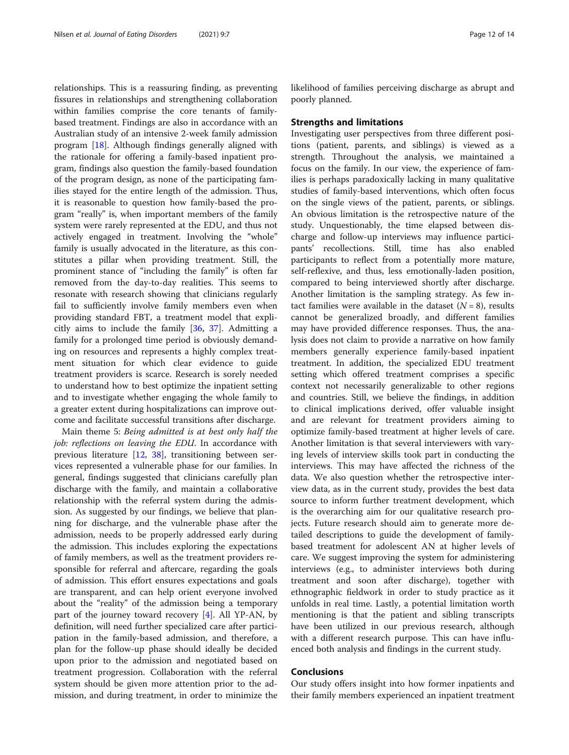relationships. This is a reassuring finding, as preventing fissures in relationships and strengthening collaboration within families comprise the core tenants of familybased treatment. Findings are also in accordance with an Australian study of an intensive 2-week family admission program [\[18\]](#page-12-0). Although findings generally aligned with the rationale for offering a family-based inpatient program, findings also question the family-based foundation of the program design, as none of the participating families stayed for the entire length of the admission. Thus, it is reasonable to question how family-based the program "really" is, when important members of the family system were rarely represented at the EDU, and thus not actively engaged in treatment. Involving the "whole" family is usually advocated in the literature, as this constitutes a pillar when providing treatment. Still, the prominent stance of "including the family" is often far removed from the day-to-day realities. This seems to resonate with research showing that clinicians regularly fail to sufficiently involve family members even when providing standard FBT, a treatment model that explicitly aims to include the family [\[36,](#page-13-0) [37\]](#page-13-0). Admitting a family for a prolonged time period is obviously demanding on resources and represents a highly complex treatment situation for which clear evidence to guide treatment providers is scarce. Research is sorely needed to understand how to best optimize the inpatient setting and to investigate whether engaging the whole family to a greater extent during hospitalizations can improve outcome and facilitate successful transitions after discharge.

Main theme 5: Being admitted is at best only half the job: reflections on leaving the EDU. In accordance with previous literature [[12,](#page-12-0) [38\]](#page-13-0), transitioning between services represented a vulnerable phase for our families. In general, findings suggested that clinicians carefully plan discharge with the family, and maintain a collaborative relationship with the referral system during the admission. As suggested by our findings, we believe that planning for discharge, and the vulnerable phase after the admission, needs to be properly addressed early during the admission. This includes exploring the expectations of family members, as well as the treatment providers responsible for referral and aftercare, regarding the goals of admission. This effort ensures expectations and goals are transparent, and can help orient everyone involved about the "reality" of the admission being a temporary part of the journey toward recovery [[4\]](#page-12-0). All YP-AN, by definition, will need further specialized care after participation in the family-based admission, and therefore, a plan for the follow-up phase should ideally be decided upon prior to the admission and negotiated based on treatment progression. Collaboration with the referral system should be given more attention prior to the admission, and during treatment, in order to minimize the likelihood of families perceiving discharge as abrupt and poorly planned.

#### Strengths and limitations

Investigating user perspectives from three different positions (patient, parents, and siblings) is viewed as a strength. Throughout the analysis, we maintained a focus on the family. In our view, the experience of families is perhaps paradoxically lacking in many qualitative studies of family-based interventions, which often focus on the single views of the patient, parents, or siblings. An obvious limitation is the retrospective nature of the study. Unquestionably, the time elapsed between discharge and follow-up interviews may influence participants' recollections. Still, time has also enabled participants to reflect from a potentially more mature, self-reflexive, and thus, less emotionally-laden position, compared to being interviewed shortly after discharge. Another limitation is the sampling strategy. As few intact families were available in the dataset  $(N = 8)$ , results cannot be generalized broadly, and different families may have provided difference responses. Thus, the analysis does not claim to provide a narrative on how family members generally experience family-based inpatient treatment. In addition, the specialized EDU treatment setting which offered treatment comprises a specific context not necessarily generalizable to other regions and countries. Still, we believe the findings, in addition to clinical implications derived, offer valuable insight and are relevant for treatment providers aiming to optimize family-based treatment at higher levels of care. Another limitation is that several interviewers with varying levels of interview skills took part in conducting the interviews. This may have affected the richness of the data. We also question whether the retrospective interview data, as in the current study, provides the best data source to inform further treatment development, which is the overarching aim for our qualitative research projects. Future research should aim to generate more detailed descriptions to guide the development of familybased treatment for adolescent AN at higher levels of care. We suggest improving the system for administering interviews (e.g., to administer interviews both during treatment and soon after discharge), together with ethnographic fieldwork in order to study practice as it unfolds in real time. Lastly, a potential limitation worth mentioning is that the patient and sibling transcripts have been utilized in our previous research, although with a different research purpose. This can have influenced both analysis and findings in the current study.

## Conclusions

Our study offers insight into how former inpatients and their family members experienced an inpatient treatment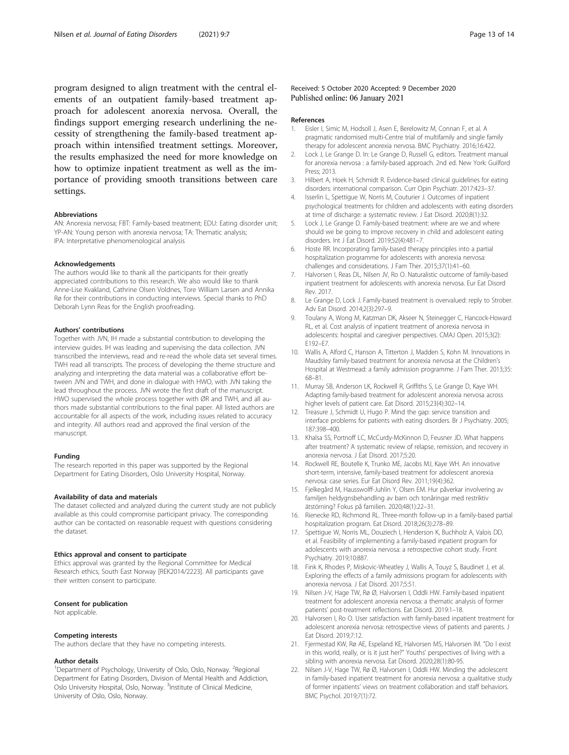<span id="page-12-0"></span>program designed to align treatment with the central elements of an outpatient family-based treatment approach for adolescent anorexia nervosa. Overall, the findings support emerging research underlining the necessity of strengthening the family-based treatment approach within intensified treatment settings. Moreover, the results emphasized the need for more knowledge on how to optimize inpatient treatment as well as the importance of providing smooth transitions between care settings.

#### Abbreviations

AN: Anorexia nervosa; FBT: Family-based treatment; EDU: Eating disorder unit; YP-AN: Young person with anorexia nervosa; TA: Thematic analysis; IPA: Interpretative phenomenological analysis

#### Acknowledgements

The authors would like to thank all the participants for their greatly appreciated contributions to this research. We also would like to thank Anne-Lise Kvakland, Cathrine Olsen Voldnes, Tore William Larsen and Annika Rø for their contributions in conducting interviews. Special thanks to PhD Deborah Lynn Reas for the English proofreading.

#### Authors' contributions

Together with JVN, IH made a substantial contribution to developing the interview guides. IH was leading and supervising the data collection. JVN transcribed the interviews, read and re-read the whole data set several times. TWH read all transcripts. The process of developing the theme structure and analyzing and interpreting the data material was a collaborative effort between JVN and TWH, and done in dialogue with HWO, with JVN taking the lead throughout the process. JVN wrote the first draft of the manuscript. HWO supervised the whole process together with ØR and TWH, and all authors made substantial contributions to the final paper. All listed authors are accountable for all aspects of the work, including issues related to accuracy and integrity. All authors read and approved the final version of the manuscript.

#### Funding

The research reported in this paper was supported by the Regional Department for Eating Disorders, Oslo University Hospital, Norway.

#### Availability of data and materials

The dataset collected and analyzed during the current study are not publicly available as this could compromise participant privacy. The corresponding author can be contacted on reasonable request with questions considering the dataset.

#### Ethics approval and consent to participate

Ethics approval was granted by the Regional Committee for Medical Research ethics, South East Norway [REK2014/2223]. All participants gave their written consent to participate.

#### Consent for publication

Not applicable.

#### Competing interests

The authors declare that they have no competing interests.

#### Author details

<sup>1</sup>Department of Psychology, University of Oslo, Oslo, Norway. <sup>2</sup>Regional Department for Eating Disorders, Division of Mental Health and Addiction, Oslo University Hospital, Oslo, Norway. <sup>3</sup>Institute of Clinical Medicine, University of Oslo, Oslo, Norway.

#### References

- 1. Eisler I, Simic M, Hodsoll J, Asen E, Berelowitz M, Connan F, et al. A pragmatic randomised multi-Centre trial of multifamily and single family therapy for adolescent anorexia nervosa. BMC Psychiatry. 2016;16:422.
- 2. Lock J, Le Grange D. In: Le Grange D, Russell G, editors. Treatment manual for anorexia nervosa : a family-based approach. 2nd ed. New York: Guilford Press; 2013.
- 3. Hilbert A, Hoek H, Schmidt R. Evidence-based clinical guidelines for eating disorders: international comparison. Curr Opin Psychiatr. 2017:423–37.
- 4. Isserlin L, Spettigue W, Norris M, Couturier J. Outcomes of inpatient psychological treatments for children and adolescents with eating disorders at time of discharge: a systematic review. J Eat Disord. 2020;8(1):32.
- 5. Lock J, Le Grange D. Family-based treatment: where are we and where should we be going to improve recovery in child and adolescent eating disorders. Int J Eat Disord. 2019;52(4):481–7.
- 6. Hoste RR. Incorporating family-based therapy principles into a partial hospitalization programme for adolescents with anorexia nervosa: challenges and considerations. J Fam Ther. 2015;37(1):41–60.
- 7. Halvorsen I, Reas DL, Nilsen JV, Ro O. Naturalistic outcome of family-based inpatient treatment for adolescents with anorexia nervosa. Eur Eat Disord Rev. 2017.
- 8. Le Grange D, Lock J. Family-based treatment is overvalued: reply to Strober. Adv Eat Disord. 2014;2(3):297–9.
- 9. Toulany A, Wong M, Katzman DK, Akseer N, Steinegger C, Hancock-Howard RL, et al. Cost analysis of inpatient treatment of anorexia nervosa in adolescents: hospital and caregiver perspectives. CMAJ Open. 2015;3(2): E192–E7.
- 10. Wallis A, Alford C, Hanson A, Titterton J, Madden S, Kohn M. Innovations in Maudsley family-based treatment for anorexia nervosa at the Children's Hospital at Westmead: a family admission programme. J Fam Ther. 2013;35: 68–81.
- 11. Murray SB, Anderson LK, Rockwell R, Griffiths S, Le Grange D, Kaye WH. Adapting family-based treatment for adolescent anorexia nervosa across higher levels of patient care. Eat Disord. 2015;23(4):302–14.
- 12. Treasure J, Schmidt U, Hugo P. Mind the gap: service transition and interface problems for patients with eating disorders. Br J Psychiatry. 2005; 187:398–400.
- 13. Khalsa SS, Portnoff LC, McCurdy-McKinnon D, Feusner JD. What happens after treatment? A systematic review of relapse, remission, and recovery in anorexia nervosa. J Eat Disord. 2017;5:20.
- 14. Rockwell RE, Boutelle K, Trunko ME, Jacobs MJ, Kaye WH. An innovative short-term, intensive, family-based treatment for adolescent anorexia nervosa: case series. Eur Eat Disord Rev. 2011;19(4):362.
- 15. Fjelkegård M, Hausswolff-Juhlin Y, Olsen EM. Hur påverkar involvering av familjen heldygnsbehandling av barn och tonåringar med restriktiv ätstörning? Fokus på familien. 2020;48(1):22–31.
- 16. Rienecke RD, Richmond RL. Three-month follow-up in a family-based partial hospitalization program. Eat Disord. 2018;26(3):278–89.
- 17. Spettigue W, Norris ML, Douziech I, Henderson K, Buchholz A, Valois DD, et al. Feasibility of implementing a family-based inpatient program for adolescents with anorexia nervosa: a retrospective cohort study. Front Psychiatry. 2019;10:887.
- 18. Fink K, Rhodes P, Miskovic-Wheatley J, Wallis A, Touyz S, Baudinet J, et al. Exploring the effects of a family admissions program for adolescents with anorexia nervosa. J Eat Disord. 2017;5:51.
- 19. Nilsen J-V, Hage TW, Rø Ø, Halvorsen I, Oddli HW. Family-based inpatient treatment for adolescent anorexia nervosa: a thematic analysis of former patients' post-treatment reflections. Eat Disord. 2019:1–18.
- 20. Halvorsen I, Ro O. User satisfaction with family-based inpatient treatment for adolescent anorexia nervosa: retrospective views of patients and parents. J Eat Disord. 2019;7:12.
- 21. Fjermestad KW, Rø AE, Espeland KE, Halvorsen MS, Halvorsen IM. "Do I exist in this world, really, or is it just her?" Youths' perspectives of living with a sibling with anorexia nervosa. Eat Disord. 2020;28(1):80-95.
- 22. Nilsen J-V, Hage TW, Rø Ø, Halvorsen I, Oddli HW. Minding the adolescent in family-based inpatient treatment for anorexia nervosa: a qualitative study of former inpatients' views on treatment collaboration and staff behaviors. BMC Psychol. 2019;7(1):72.